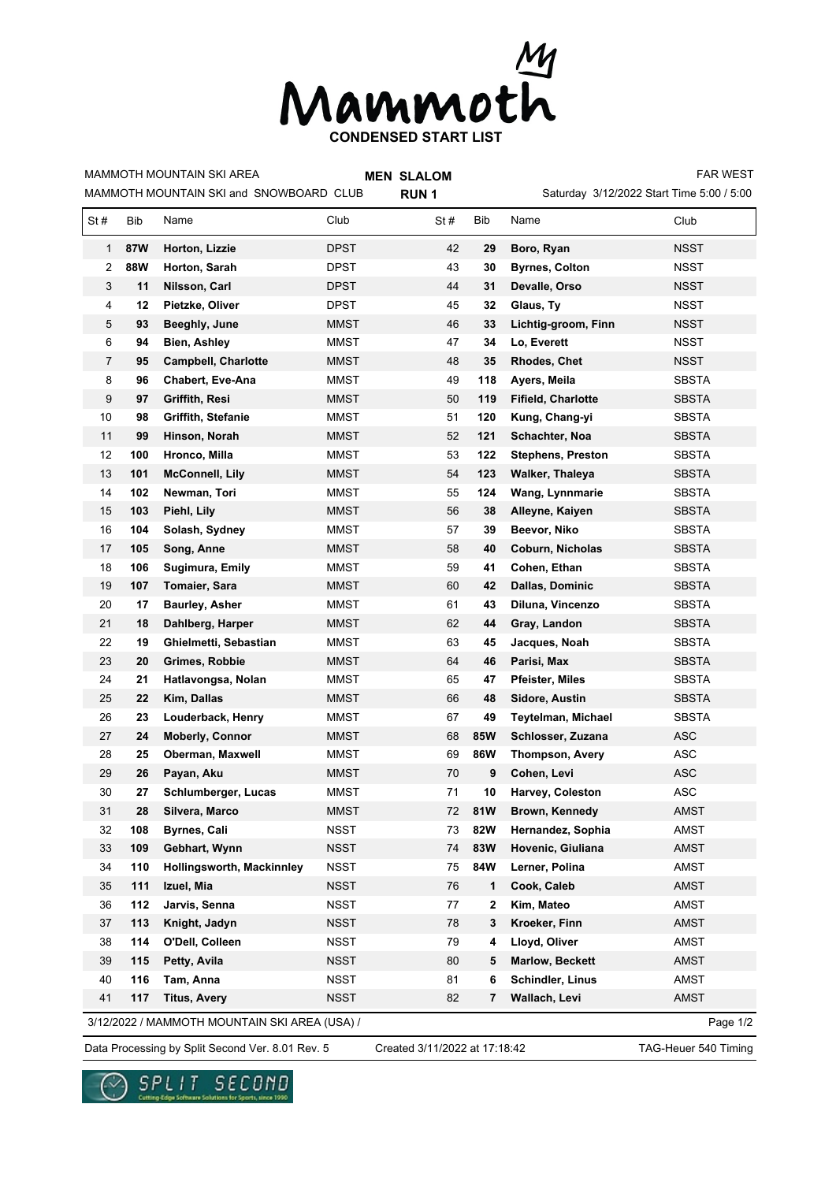

MAMMOTH MOUNTAIN SKI and SNOWBOARD CLUB MAMMOTH MOUNTAIN SKI AREA

**MEN SLALOM** 

**RUN 1**

Saturday 3/12/2022 Start Time 5:00 / 5:00 FAR WEST

| St#                                                       | Bib        | Name                       | Club        | St# | Bib          | Name                      | Club         |  |
|-----------------------------------------------------------|------------|----------------------------|-------------|-----|--------------|---------------------------|--------------|--|
| $\mathbf 1$                                               | 87W        | Horton, Lizzie             | <b>DPST</b> | 42  | 29           | Boro, Ryan                | NSST         |  |
| 2                                                         | <b>88W</b> | Horton, Sarah              | DPST        | 43  | 30           | <b>Byrnes, Colton</b>     | NSST         |  |
| 3                                                         | 11         | Nilsson, Carl              | DPST        | 44  | 31           | Devalle, Orso             | NSST         |  |
| 4                                                         | 12         | Pietzke, Oliver            | DPST        | 45  | 32           | Glaus, Ty                 | <b>NSST</b>  |  |
| 5                                                         | 93         | Beeghly, June              | MMST        | 46  | 33           | Lichtig-groom, Finn       | <b>NSST</b>  |  |
| 6                                                         | 94         | Bien, Ashley               | <b>MMST</b> | 47  | 34           | Lo, Everett               | NSST         |  |
| $\overline{7}$                                            | 95         | <b>Campbell, Charlotte</b> | MMST        | 48  | 35           | <b>Rhodes, Chet</b>       | <b>NSST</b>  |  |
| 8                                                         | 96         | <b>Chabert, Eve-Ana</b>    | MMST        | 49  | 118          | Ayers, Meila              | <b>SBSTA</b> |  |
| 9                                                         | 97         | Griffith, Resi             | <b>MMST</b> | 50  | 119          | <b>Fifield, Charlotte</b> | <b>SBSTA</b> |  |
| 10                                                        | 98         | Griffith, Stefanie         | MMST        | 51  | 120          | Kung, Chang-yi            | SBSTA        |  |
| 11                                                        | 99         | Hinson, Norah              | MMST        | 52  | 121          | Schachter, Noa            | <b>SBSTA</b> |  |
| 12                                                        | 100        | Hronco, Milla              | MMST        | 53  | 122          | <b>Stephens, Preston</b>  | <b>SBSTA</b> |  |
| 13                                                        | 101        | <b>McConnell, Lily</b>     | MMST        | 54  | 123          | Walker, Thaleya           | SBSTA        |  |
| 14                                                        | 102        | Newman, Tori               | MMST        | 55  | 124          | Wang, Lynnmarie           | <b>SBSTA</b> |  |
| 15                                                        | 103        | Piehl, Lily                | MMST        | 56  | 38           | Alleyne, Kaiyen           | SBSTA        |  |
| 16                                                        | 104        | Solash, Sydney             | MMST        | 57  | 39           | Beevor, Niko              | SBSTA        |  |
| 17                                                        | 105        | Song, Anne                 | <b>MMST</b> | 58  | 40           | Coburn, Nicholas          | SBSTA        |  |
| 18                                                        | 106        | Sugimura, Emily            | MMST        | 59  | 41           | Cohen, Ethan              | <b>SBSTA</b> |  |
| 19                                                        | 107        | Tomaier, Sara              | MMST        | 60  | 42           | <b>Dallas, Dominic</b>    | <b>SBSTA</b> |  |
| 20                                                        | 17         | <b>Baurley, Asher</b>      | MMST        | 61  | 43           | Diluna, Vincenzo          | <b>SBSTA</b> |  |
| 21                                                        | 18         | Dahlberg, Harper           | MMST        | 62  | 44           | Gray, Landon              | SBSTA        |  |
| 22                                                        | 19         | Ghielmetti, Sebastian      | MMST        | 63  | 45           | Jacques, Noah             | <b>SBSTA</b> |  |
| 23                                                        | 20         | Grimes, Robbie             | MMST        | 64  | 46           | Parisi, Max               | <b>SBSTA</b> |  |
| 24                                                        | 21         | Hatlavongsa, Nolan         | MMST        | 65  | 47           | <b>Pfeister, Miles</b>    | <b>SBSTA</b> |  |
| 25                                                        | 22         | Kim, Dallas                | MMST        | 66  | 48           | Sidore, Austin            | <b>SBSTA</b> |  |
| 26                                                        | 23         | Louderback, Henry          | MMST        | 67  | 49           | Teytelman, Michael        | <b>SBSTA</b> |  |
| 27                                                        | 24         | <b>Moberly, Connor</b>     | MMST        | 68  | <b>85W</b>   | Schlosser, Zuzana         | <b>ASC</b>   |  |
| 28                                                        | 25         | Oberman, Maxwell           | MMST        | 69  | <b>86W</b>   | <b>Thompson, Avery</b>    | <b>ASC</b>   |  |
| 29                                                        | 26         | Payan, Aku                 | MMST        | 70  | 9            | Cohen, Levi               | <b>ASC</b>   |  |
| 30                                                        | 27         | Schlumberger, Lucas        | MMST        | 71  | 10           | Harvey, Coleston          | <b>ASC</b>   |  |
| 31                                                        | 28         | Silvera, Marco             | MMST        | 72  | 81W          | Brown, Kennedy            | AMST         |  |
| 32                                                        | 108        | Byrnes, Cali               | <b>NSST</b> | 73  | 82W          | Hernandez, Sophia         | AMST         |  |
| 33                                                        | 109        | Gebhart, Wynn              | <b>NSST</b> | 74  | 83W          | Hovenic, Giuliana         | <b>AMST</b>  |  |
| 34                                                        | 110        | Hollingsworth, Mackinnley  | <b>NSST</b> | 75  | 84W          | Lerner, Polina            | AMST         |  |
| 35                                                        | 111        | Izuel, Mia                 | <b>NSST</b> | 76  | $\mathbf{1}$ | Cook, Caleb               | AMST         |  |
| 36                                                        | 112        | Jarvis, Senna              | <b>NSST</b> | 77  | $\mathbf{2}$ | Kim, Mateo                | <b>AMST</b>  |  |
| 37                                                        | 113        | Knight, Jadyn              | NSST        | 78  | 3            | Kroeker, Finn             | AMST         |  |
| 38                                                        | 114        | O'Dell, Colleen            | <b>NSST</b> | 79  | 4            | Lloyd, Oliver             | AMST         |  |
| 39                                                        | 115        | Petty, Avila               | NSST        | 80  | 5            | <b>Marlow, Beckett</b>    | AMST         |  |
| 40                                                        | 116        | Tam, Anna                  | NSST        | 81  | 6            | Schindler, Linus          | <b>AMST</b>  |  |
| 41                                                        | 117        | <b>Titus, Avery</b>        | NSST        | 82  | 7            | Wallach, Levi             | <b>AMST</b>  |  |
| 3/12/2022 / MAMMOTH MOUNTAIN SKI AREA (USA) /<br>Page 1/2 |            |                            |             |     |              |                           |              |  |

Data Processing by Split Second Ver. 8.01 Rev. 5 Created 3/11/2022 at 17:18:42 TAG-Heuer 540 Timing

Created 3/11/2022 at 17:18:42